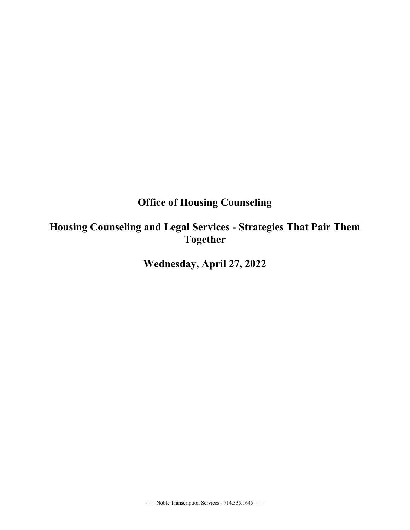## **Office of Housing Counseling**

## **Housing Counseling and Legal Services - Strategies That Pair Them Together**

 **Together Wednesday, April 27, 2022** 

~~~ Noble Transcription Services - 714.335.1645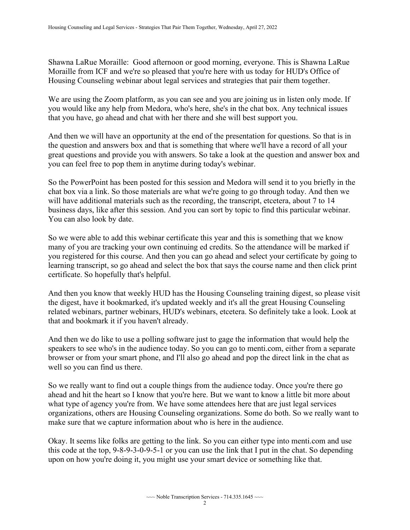Moraille from ICF and we're so pleased that you're here with us today for HUD's Office of Shawna LaRue Moraille: Good afternoon or good morning, everyone. This is Shawna LaRue Housing Counseling webinar about legal services and strategies that pair them together.

We are using the Zoom platform, as you can see and you are joining us in listen only mode. If you would like any help from Medora, who's here, she's in the chat box. Any technical issues that you have, go ahead and chat with her there and she will best support you.

 the question and answers box and that is something that where we'll have a record of all your And then we will have an opportunity at the end of the presentation for questions. So that is in great questions and provide you with answers. So take a look at the question and answer box and you can feel free to pop them in anytime during today's webinar.

 You can also look by date. So the PowerPoint has been posted for this session and Medora will send it to you briefly in the chat box via a link. So those materials are what we're going to go through today. And then we will have additional materials such as the recording, the transcript, etcetera, about 7 to 14 business days, like after this session. And you can sort by topic to find this particular webinar.

So we were able to add this webinar certificate this year and this is something that we know many of you are tracking your own continuing ed credits. So the attendance will be marked if you registered for this course. And then you can go ahead and select your certificate by going to learning transcript, so go ahead and select the box that says the course name and then click print certificate. So hopefully that's helpful.

And then you know that weekly HUD has the Housing Counseling training digest, so please visit the digest, have it bookmarked, it's updated weekly and it's all the great Housing Counseling related webinars, partner webinars, HUD's webinars, etcetera. So definitely take a look. Look at that and bookmark it if you haven't already.

And then we do like to use a polling software just to gage the information that would help the speakers to see who's in the audience today. So you can go to menti.com, either from a separate browser or from your smart phone, and I'll also go ahead and pop the direct link in the chat as well so you can find us there.

 organizations, others are Housing Counseling organizations. Some do both. So we really want to So we really want to find out a couple things from the audience today. Once you're there go ahead and hit the heart so I know that you're here. But we want to know a little bit more about what type of agency you're from. We have some attendees here that are just legal services make sure that we capture information about who is here in the audience.

Okay. It seems like folks are getting to the link. So you can either type into menti.com and use this code at the top, 9-8-9-3-0-9-5-1 or you can use the link that I put in the chat. So depending upon on how you're doing it, you might use your smart device or something like that.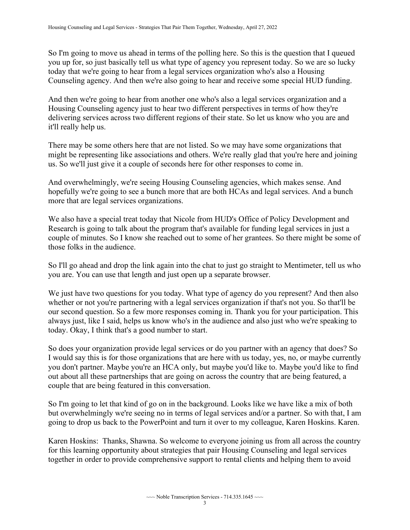Counseling agency. And then we're also going to hear and receive some special HUD funding. So I'm going to move us ahead in terms of the polling here. So this is the question that I queued you up for, so just basically tell us what type of agency you represent today. So we are so lucky today that we're going to hear from a legal services organization who's also a Housing

And then we're going to hear from another one who's also a legal services organization and a Housing Counseling agency just to hear two different perspectives in terms of how they're delivering services across two different regions of their state. So let us know who you are and it'll really help us.

There may be some others here that are not listed. So we may have some organizations that might be representing like associations and others. We're really glad that you're here and joining us. So we'll just give it a couple of seconds here for other responses to come in.

And overwhelmingly, we're seeing Housing Counseling agencies, which makes sense. And hopefully we're going to see a bunch more that are both HCAs and legal services. And a bunch more that are legal services organizations.

We also have a special treat today that Nicole from HUD's Office of Policy Development and Research is going to talk about the program that's available for funding legal services in just a couple of minutes. So I know she reached out to some of her grantees. So there might be some of those folks in the audience.

So I'll go ahead and drop the link again into the chat to just go straight to Mentimeter, tell us who you are. You can use that length and just open up a separate browser.

 whether or not you're partnering with a legal services organization if that's not you. So that'll be We just have two questions for you today. What type of agency do you represent? And then also our second question. So a few more responses coming in. Thank you for your participation. This always just, like I said, helps us know who's in the audience and also just who we're speaking to today. Okay, I think that's a good number to start.

So does your organization provide legal services or do you partner with an agency that does? So I would say this is for those organizations that are here with us today, yes, no, or maybe currently you don't partner. Maybe you're an HCA only, but maybe you'd like to. Maybe you'd like to find out about all these partnerships that are going on across the country that are being featured, a couple that are being featured in this conversation.

 but overwhelmingly we're seeing no in terms of legal services and/or a partner. So with that, I am So I'm going to let that kind of go on in the background. Looks like we have like a mix of both going to drop us back to the PowerPoint and turn it over to my colleague, Karen Hoskins. Karen.

Karen Hoskins: Thanks, Shawna. So welcome to everyone joining us from all across the country for this learning opportunity about strategies that pair Housing Counseling and legal services together in order to provide comprehensive support to rental clients and helping them to avoid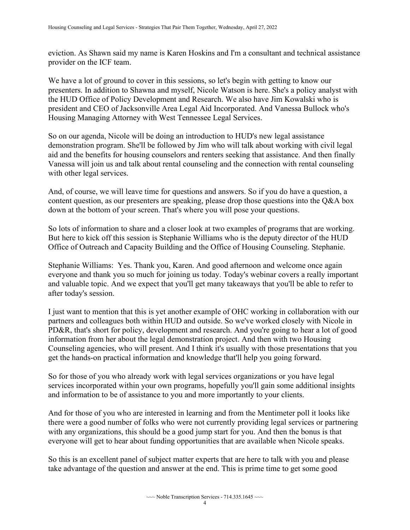provider on the ICF team. eviction. As Shawn said my name is Karen Hoskins and I'm a consultant and technical assistance

We have a lot of ground to cover in this sessions, so let's begin with getting to know our presenters. In addition to Shawna and myself, Nicole Watson is here. She's a policy analyst with the HUD Office of Policy Development and Research. We also have Jim Kowalski who is president and CEO of Jacksonville Area Legal Aid Incorporated. And Vanessa Bullock who's Housing Managing Attorney with West Tennessee Legal Services.

So on our agenda, Nicole will be doing an introduction to HUD's new legal assistance demonstration program. She'll be followed by Jim who will talk about working with civil legal aid and the benefits for housing counselors and renters seeking that assistance. And then finally Vanessa will join us and talk about rental counseling and the connection with rental counseling with other legal services.

 And, of course, we will leave time for questions and answers. So if you do have a question, a content question, as our presenters are speaking, please drop those questions into the Q&A box down at the bottom of your screen. That's where you will pose your questions.

So lots of information to share and a closer look at two examples of programs that are working. But here to kick off this session is Stephanie Williams who is the deputy director of the HUD Office of Outreach and Capacity Building and the Office of Housing Counseling. Stephanie.

Stephanie Williams: Yes. Thank you, Karen. And good afternoon and welcome once again everyone and thank you so much for joining us today. Today's webinar covers a really important and valuable topic. And we expect that you'll get many takeaways that you'll be able to refer to after today's session.

I just want to mention that this is yet another example of OHC working in collaboration with our partners and colleagues both within HUD and outside. So we've worked closely with Nicole in PD&R, that's short for policy, development and research. And you're going to hear a lot of good information from her about the legal demonstration project. And then with two Housing Counseling agencies, who will present. And I think it's usually with those presentations that you get the hands-on practical information and knowledge that'll help you going forward.

So for those of you who already work with legal services organizations or you have legal services incorporated within your own programs, hopefully you'll gain some additional insights and information to be of assistance to you and more importantly to your clients.

And for those of you who are interested in learning and from the Mentimeter poll it looks like there were a good number of folks who were not currently providing legal services or partnering with any organizations, this should be a good jump start for you. And then the bonus is that everyone will get to hear about funding opportunities that are available when Nicole speaks.

So this is an excellent panel of subject matter experts that are here to talk with you and please take advantage of the question and answer at the end. This is prime time to get some good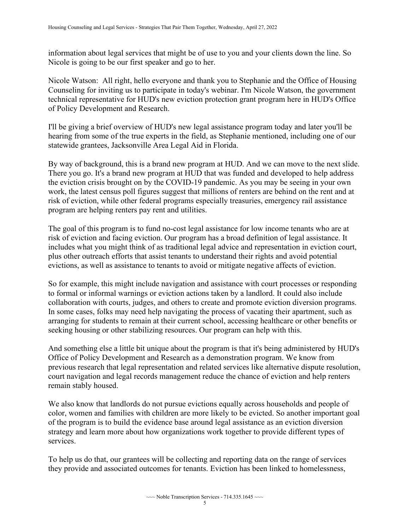Nicole is going to be our first speaker and go to her. information about legal services that might be of use to you and your clients down the line. So

Nicole Watson: All right, hello everyone and thank you to Stephanie and the Office of Housing Counseling for inviting us to participate in today's webinar. I'm Nicole Watson, the government technical representative for HUD's new eviction protection grant program here in HUD's Office of Policy Development and Research.

 hearing from some of the true experts in the field, as Stephanie mentioned, including one of our I'll be giving a brief overview of HUD's new legal assistance program today and later you'll be statewide grantees, Jacksonville Area Legal Aid in Florida.

By way of background, this is a brand new program at HUD. And we can move to the next slide. There you go. It's a brand new program at HUD that was funded and developed to help address the eviction crisis brought on by the COVID-19 pandemic. As you may be seeing in your own work, the latest census poll figures suggest that millions of renters are behind on the rent and at risk of eviction, while other federal programs especially treasuries, emergency rail assistance program are helping renters pay rent and utilities.

 risk of eviction and facing eviction. Our program has a broad definition of legal assistance. It The goal of this program is to fund no-cost legal assistance for low income tenants who are at includes what you might think of as traditional legal advice and representation in eviction court, plus other outreach efforts that assist tenants to understand their rights and avoid potential evictions, as well as assistance to tenants to avoid or mitigate negative affects of eviction.

So for example, this might include navigation and assistance with court processes or responding to formal or informal warnings or eviction actions taken by a landlord. It could also include collaboration with courts, judges, and others to create and promote eviction diversion programs. In some cases, folks may need help navigating the process of vacating their apartment, such as arranging for students to remain at their current school, accessing healthcare or other benefits or seeking housing or other stabilizing resources. Our program can help with this.

And something else a little bit unique about the program is that it's being administered by HUD's Office of Policy Development and Research as a demonstration program. We know from previous research that legal representation and related services like alternative dispute resolution, court navigation and legal records management reduce the chance of eviction and help renters remain stably housed.

We also know that landlords do not pursue evictions equally across households and people of color, women and families with children are more likely to be evicted. So another important goal of the program is to build the evidence base around legal assistance as an eviction diversion strategy and learn more about how organizations work together to provide different types of services.

To help us do that, our grantees will be collecting and reporting data on the range of services they provide and associated outcomes for tenants. Eviction has been linked to homelessness,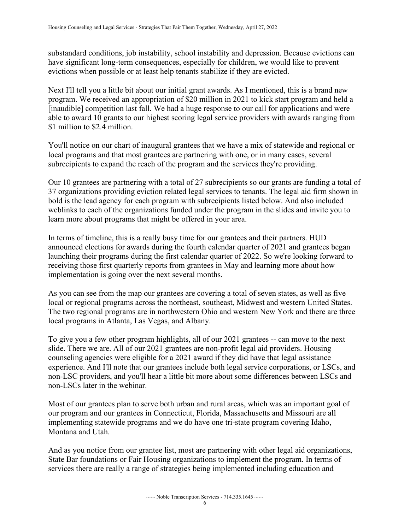substandard conditions, job instability, school instability and depression. Because evictions can have significant long-term consequences, especially for children, we would like to prevent evictions when possible or at least help tenants stabilize if they are evicted.

Next I'll tell you a little bit about our initial grant awards. As I mentioned, this is a brand new program. We received an appropriation of \$20 million in 2021 to kick start program and held a [inaudible] competition last fall. We had a huge response to our call for applications and were able to award 10 grants to our highest scoring legal service providers with awards ranging from \$1 million to \$2.4 million.

You'll notice on our chart of inaugural grantees that we have a mix of statewide and regional or local programs and that most grantees are partnering with one, or in many cases, several subrecipients to expand the reach of the program and the services they're providing.

Our 10 grantees are partnering with a total of 27 subrecipients so our grants are funding a total of 37 organizations providing eviction related legal services to tenants. The legal aid firm shown in bold is the lead agency for each program with subrecipients listed below. And also included weblinks to each of the organizations funded under the program in the slides and invite you to learn more about programs that might be offered in your area.

In terms of timeline, this is a really busy time for our grantees and their partners. HUD announced elections for awards during the fourth calendar quarter of 2021 and grantees began launching their programs during the first calendar quarter of 2022. So we're looking forward to receiving those first quarterly reports from grantees in May and learning more about how implementation is going over the next several months.

As you can see from the map our grantees are covering a total of seven states, as well as five local or regional programs across the northeast, southeast, Midwest and western United States. The two regional programs are in northwestern Ohio and western New York and there are three local programs in Atlanta, Las Vegas, and Albany.

 To give you a few other program highlights, all of our 2021 grantees -- can move to the next experience. And I'll note that our grantees include both legal service corporations, or LSCs, and slide. There we are. All of our 2021 grantees are non-profit legal aid providers. Housing counseling agencies were eligible for a 2021 award if they did have that legal assistance non-LSC providers, and you'll hear a little bit more about some differences between LSCs and non-LSCs later in the webinar.

Most of our grantees plan to serve both urban and rural areas, which was an important goal of our program and our grantees in Connecticut, Florida, Massachusetts and Missouri are all implementing statewide programs and we do have one tri-state program covering Idaho, Montana and Utah.

 State Bar foundations or Fair Housing organizations to implement the program. In terms of And as you notice from our grantee list, most are partnering with other legal aid organizations, services there are really a range of strategies being implemented including education and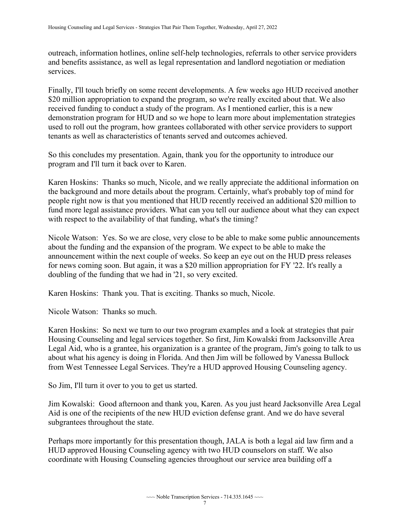outreach, information hotlines, online self-help technologies, referrals to other service providers and benefits assistance, as well as legal representation and landlord negotiation or mediation services.

Finally, I'll touch briefly on some recent developments. A few weeks ago HUD received another \$20 million appropriation to expand the program, so we're really excited about that. We also received funding to conduct a study of the program. As I mentioned earlier, this is a new demonstration program for HUD and so we hope to learn more about implementation strategies used to roll out the program, how grantees collaborated with other service providers to support tenants as well as characteristics of tenants served and outcomes achieved.

So this concludes my presentation. Again, thank you for the opportunity to introduce our program and I'll turn it back over to Karen.

 the background and more details about the program. Certainly, what's probably top of mind for fund more legal assistance providers. What can you tell our audience about what they can expect with respect to the availability of that funding, what's the timing? Karen Hoskins: Thanks so much, Nicole, and we really appreciate the additional information on people right now is that you mentioned that HUD recently received an additional \$20 million to

 announcement within the next couple of weeks. So keep an eye out on the HUD press releases Nicole Watson: Yes. So we are close, very close to be able to make some public announcements about the funding and the expansion of the program. We expect to be able to make the for news coming soon. But again, it was a \$20 million appropriation for FY '22. It's really a doubling of the funding that we had in '21, so very excited.

Karen Hoskins: Thank you. That is exciting. Thanks so much, Nicole.

Nicole Watson: Thanks so much.

Karen Hoskins: So next we turn to our two program examples and a look at strategies that pair Housing Counseling and legal services together. So first, Jim Kowalski from Jacksonville Area Legal Aid, who is a grantee, his organization is a grantee of the program, Jim's going to talk to us about what his agency is doing in Florida. And then Jim will be followed by Vanessa Bullock from West Tennessee Legal Services. They're a HUD approved Housing Counseling agency.

So Jim, I'll turn it over to you to get us started.

Jim Kowalski: Good afternoon and thank you, Karen. As you just heard Jacksonville Area Legal Aid is one of the recipients of the new HUD eviction defense grant. And we do have several subgrantees throughout the state.

Perhaps more importantly for this presentation though, JALA is both a legal aid law firm and a HUD approved Housing Counseling agency with two HUD counselors on staff. We also coordinate with Housing Counseling agencies throughout our service area building off a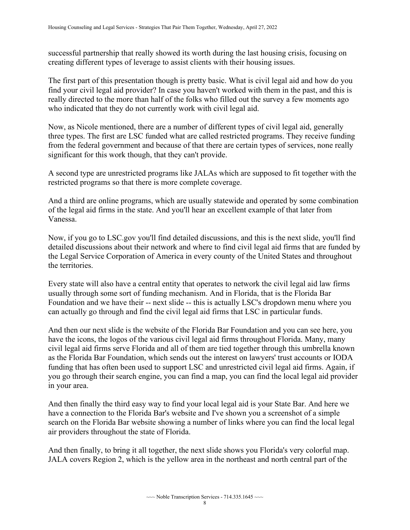successful partnership that really showed its worth during the last housing crisis, focusing on creating different types of leverage to assist clients with their housing issues.

 The first part of this presentation though is pretty basic. What is civil legal aid and how do you really directed to the more than half of the folks who filled out the survey a few moments ago find your civil legal aid provider? In case you haven't worked with them in the past, and this is who indicated that they do not currently work with civil legal aid.

Now, as Nicole mentioned, there are a number of different types of civil legal aid, generally three types. The first are LSC funded what are called restricted programs. They receive funding from the federal government and because of that there are certain types of services, none really significant for this work though, that they can't provide.

A second type are unrestricted programs like JALAs which are supposed to fit together with the restricted programs so that there is more complete coverage.

And a third are online programs, which are usually statewide and operated by some combination of the legal aid firms in the state. And you'll hear an excellent example of that later from Vanessa.

Now, if you go to LSC.gov you'll find detailed discussions, and this is the next slide, you'll find detailed discussions about their network and where to find civil legal aid firms that are funded by the Legal Service Corporation of America in every county of the United States and throughout the territories.

 Foundation and we have their -- next slide -- this is actually LSC's dropdown menu where you Every state will also have a central entity that operates to network the civil legal aid law firms usually through some sort of funding mechanism. And in Florida, that is the Florida Bar can actually go through and find the civil legal aid firms that LSC in particular funds.

 have the icons, the logos of the various civil legal aid firms throughout Florida. Many, many And then our next slide is the website of the Florida Bar Foundation and you can see here, you civil legal aid firms serve Florida and all of them are tied together through this umbrella known as the Florida Bar Foundation, which sends out the interest on lawyers' trust accounts or IODA funding that has often been used to support LSC and unrestricted civil legal aid firms. Again, if you go through their search engine, you can find a map, you can find the local legal aid provider in your area.

 air providers throughout the state of Florida. And then finally the third easy way to find your local legal aid is your State Bar. And here we have a connection to the Florida Bar's website and I've shown you a screenshot of a simple search on the Florida Bar website showing a number of links where you can find the local legal

And then finally, to bring it all together, the next slide shows you Florida's very colorful map. JALA covers Region 2, which is the yellow area in the northeast and north central part of the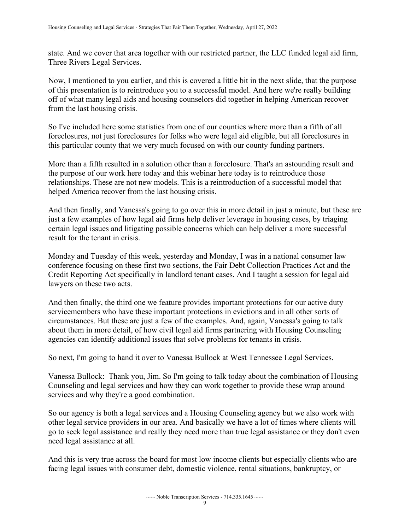state. And we cover that area together with our restricted partner, the LLC funded legal aid firm, Three Rivers Legal Services.

Now, I mentioned to you earlier, and this is covered a little bit in the next slide, that the purpose of this presentation is to reintroduce you to a successful model. And here we're really building off of what many legal aids and housing counselors did together in helping American recover from the last housing crisis.

 So I've included here some statistics from one of our counties where more than a fifth of all foreclosures, not just foreclosures for folks who were legal aid eligible, but all foreclosures in this particular county that we very much focused on with our county funding partners.

More than a fifth resulted in a solution other than a foreclosure. That's an astounding result and the purpose of our work here today and this webinar here today is to reintroduce those relationships. These are not new models. This is a reintroduction of a successful model that helped America recover from the last housing crisis.

 certain legal issues and litigating possible concerns which can help deliver a more successful And then finally, and Vanessa's going to go over this in more detail in just a minute, but these are just a few examples of how legal aid firms help deliver leverage in housing cases, by triaging result for the tenant in crisis.

Monday and Tuesday of this week, yesterday and Monday, I was in a national consumer law conference focusing on these first two sections, the Fair Debt Collection Practices Act and the Credit Reporting Act specifically in landlord tenant cases. And I taught a session for legal aid lawyers on these two acts.

And then finally, the third one we feature provides important protections for our active duty servicemembers who have these important protections in evictions and in all other sorts of circumstances. But these are just a few of the examples. And, again, Vanessa's going to talk about them in more detail, of how civil legal aid firms partnering with Housing Counseling agencies can identify additional issues that solve problems for tenants in crisis.

So next, I'm going to hand it over to Vanessa Bullock at West Tennessee Legal Services.

Vanessa Bullock: Thank you, Jim. So I'm going to talk today about the combination of Housing Counseling and legal services and how they can work together to provide these wrap around services and why they're a good combination.

 need legal assistance at all. So our agency is both a legal services and a Housing Counseling agency but we also work with other legal service providers in our area. And basically we have a lot of times where clients will go to seek legal assistance and really they need more than true legal assistance or they don't even

And this is very true across the board for most low income clients but especially clients who are facing legal issues with consumer debt, domestic violence, rental situations, bankruptcy, or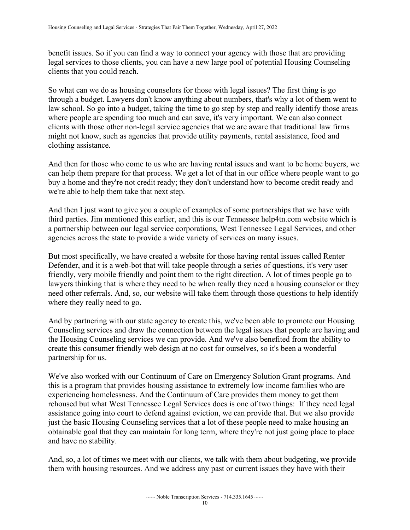benefit issues. So if you can find a way to connect your agency with those that are providing legal services to those clients, you can have a new large pool of potential Housing Counseling clients that you could reach.

So what can we do as housing counselors for those with legal issues? The first thing is go through a budget. Lawyers don't know anything about numbers, that's why a lot of them went to law school. So go into a budget, taking the time to go step by step and really identify those areas where people are spending too much and can save, it's very important. We can also connect clients with those other non-legal service agencies that we are aware that traditional law firms might not know, such as agencies that provide utility payments, rental assistance, food and clothing assistance.

And then for those who come to us who are having rental issues and want to be home buyers, we can help them prepare for that process. We get a lot of that in our office where people want to go buy a home and they're not credit ready; they don't understand how to become credit ready and we're able to help them take that next step.

And then I just want to give you a couple of examples of some partnerships that we have with third parties. Jim mentioned this earlier, and this is our Tennessee help4tn.com website which is a partnership between our legal service corporations, West Tennessee Legal Services, and other agencies across the state to provide a wide variety of services on many issues.

But most specifically, we have created a website for those having rental issues called Renter Defender, and it is a web-bot that will take people through a series of questions, it's very user friendly, very mobile friendly and point them to the right direction. A lot of times people go to lawyers thinking that is where they need to be when really they need a housing counselor or they need other referrals. And, so, our website will take them through those questions to help identify where they really need to go.

And by partnering with our state agency to create this, we've been able to promote our Housing Counseling services and draw the connection between the legal issues that people are having and the Housing Counseling services we can provide. And we've also benefited from the ability to create this consumer friendly web design at no cost for ourselves, so it's been a wonderful partnership for us.

 rehoused but what West Tennessee Legal Services does is one of two things: If they need legal just the basic Housing Counseling services that a lot of these people need to make housing an We've also worked with our Continuum of Care on Emergency Solution Grant programs. And this is a program that provides housing assistance to extremely low income families who are experiencing homelessness. And the Continuum of Care provides them money to get them assistance going into court to defend against eviction, we can provide that. But we also provide obtainable goal that they can maintain for long term, where they're not just going place to place and have no stability.

 And, so, a lot of times we meet with our clients, we talk with them about budgeting, we provide them with housing resources. And we address any past or current issues they have with their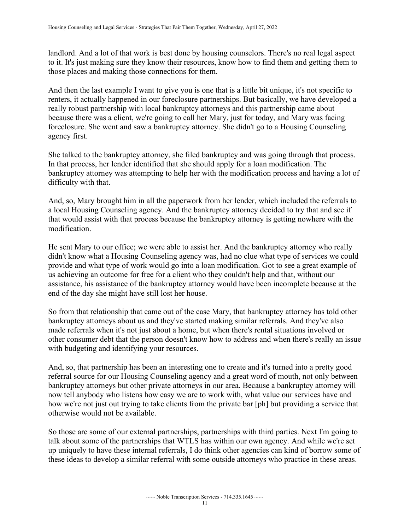landlord. And a lot of that work is best done by housing counselors. There's no real legal aspect to it. It's just making sure they know their resources, know how to find them and getting them to those places and making those connections for them.

And then the last example I want to give you is one that is a little bit unique, it's not specific to renters, it actually happened in our foreclosure partnerships. But basically, we have developed a really robust partnership with local bankruptcy attorneys and this partnership came about because there was a client, we're going to call her Mary, just for today, and Mary was facing foreclosure. She went and saw a bankruptcy attorney. She didn't go to a Housing Counseling agency first.

She talked to the bankruptcy attorney, she filed bankruptcy and was going through that process. In that process, her lender identified that she should apply for a loan modification. The bankruptcy attorney was attempting to help her with the modification process and having a lot of difficulty with that.

 that would assist with that process because the bankruptcy attorney is getting nowhere with the And, so, Mary brought him in all the paperwork from her lender, which included the referrals to a local Housing Counseling agency. And the bankruptcy attorney decided to try that and see if modification.

He sent Mary to our office; we were able to assist her. And the bankruptcy attorney who really didn't know what a Housing Counseling agency was, had no clue what type of services we could provide and what type of work would go into a loan modification. Got to see a great example of us achieving an outcome for free for a client who they couldn't help and that, without our assistance, his assistance of the bankruptcy attorney would have been incomplete because at the end of the day she might have still lost her house.

 So from that relationship that came out of the case Mary, that bankruptcy attorney has told other other consumer debt that the person doesn't know how to address and when there's really an issue bankruptcy attorneys about us and they've started making similar referrals. And they've also made referrals when it's not just about a home, but when there's rental situations involved or with budgeting and identifying your resources.

And, so, that partnership has been an interesting one to create and it's turned into a pretty good referral source for our Housing Counseling agency and a great word of mouth, not only between bankruptcy attorneys but other private attorneys in our area. Because a bankruptcy attorney will now tell anybody who listens how easy we are to work with, what value our services have and how we're not just out trying to take clients from the private bar [ph] but providing a service that otherwise would not be available.

 these ideas to develop a similar referral with some outside attorneys who practice in these areas. So those are some of our external partnerships, partnerships with third parties. Next I'm going to talk about some of the partnerships that WTLS has within our own agency. And while we're set up uniquely to have these internal referrals, I do think other agencies can kind of borrow some of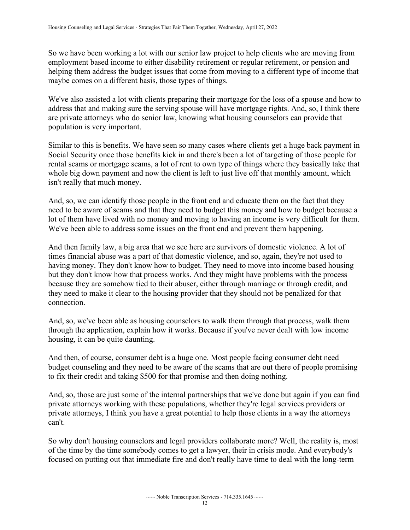So we have been working a lot with our senior law project to help clients who are moving from employment based income to either disability retirement or regular retirement, or pension and helping them address the budget issues that come from moving to a different type of income that maybe comes on a different basis, those types of things.

We've also assisted a lot with clients preparing their mortgage for the loss of a spouse and how to address that and making sure the serving spouse will have mortgage rights. And, so, I think there are private attorneys who do senior law, knowing what housing counselors can provide that population is very important.

Similar to this is benefits. We have seen so many cases where clients get a huge back payment in Social Security once those benefits kick in and there's been a lot of targeting of those people for rental scams or mortgage scams, a lot of rent to own type of things where they basically take that whole big down payment and now the client is left to just live off that monthly amount, which isn't really that much money.

 need to be aware of scams and that they need to budget this money and how to budget because a And, so, we can identify those people in the front end and educate them on the fact that they lot of them have lived with no money and moving to having an income is very difficult for them. We've been able to address some issues on the front end and prevent them happening.

And then family law, a big area that we see here are survivors of domestic violence. A lot of times financial abuse was a part of that domestic violence, and so, again, they're not used to having money. They don't know how to budget. They need to move into income based housing but they don't know how that process works. And they might have problems with the process because they are somehow tied to their abuser, either through marriage or through credit, and they need to make it clear to the housing provider that they should not be penalized for that connection.

And, so, we've been able as housing counselors to walk them through that process, walk them through the application, explain how it works. Because if you've never dealt with low income housing, it can be quite daunting.

And then, of course, consumer debt is a huge one. Most people facing consumer debt need budget counseling and they need to be aware of the scams that are out there of people promising to fix their credit and taking \$500 for that promise and then doing nothing.

And, so, those are just some of the internal partnerships that we've done but again if you can find private attorneys working with these populations, whether they're legal services providers or private attorneys, I think you have a great potential to help those clients in a way the attorneys can't.

 So why don't housing counselors and legal providers collaborate more? Well, the reality is, most of the time by the time somebody comes to get a lawyer, their in crisis mode. And everybody's focused on putting out that immediate fire and don't really have time to deal with the long-term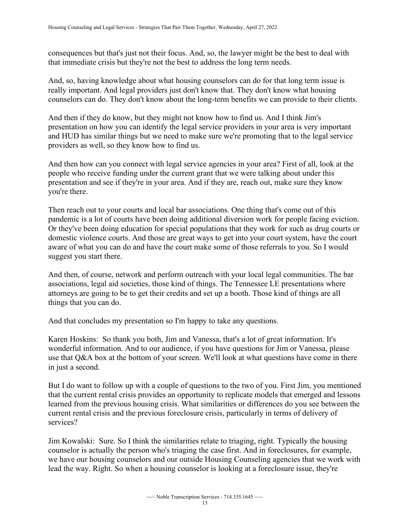consequences but that's just not their focus. And, so, the lawyer might be the best to deal with that immediate crisis but they're not the best to address the long term needs.

And, so, having knowledge about what housing counselors can do for that long term issue is really important. And legal providers just don't know that. They don't know what housing counselors can do. They don't know about the long-term benefits we can provide to their clients.

And then if they do know, but they might not know how to find us. And I think Jim's presentation on how you can identify the legal service providers in your area is very important and HUD has similar things but we need to make sure we're promoting that to the legal service providers as well, so they know how to find us.

 And then how can you connect with legal service agencies in your area? First of all, look at the people who receive funding under the current grant that we were talking about under this presentation and see if they're in your area. And if they are, reach out, make sure they know you're there.

Then reach out to your courts and local bar associations. One thing that's come out of this pandemic is a lot of courts have been doing additional diversion work for people facing eviction. Or they've been doing education for special populations that they work for such as drug courts or domestic violence courts. And those are great ways to get into your court system, have the court aware of what you can do and have the court make some of those referrals to you. So I would suggest you start there.

And then, of course, network and perform outreach with your local legal communities. The bar associations, legal aid societies, those kind of things. The Tennessee LE presentations where attorneys are going to be to get their credits and set up a booth. Those kind of things are all things that you can do.

And that concludes my presentation so I'm happy to take any questions.

Karen Hoskins: So thank you both, Jim and Vanessa, that's a lot of great information. It's wonderful information. And to our audience, if you have questions for Jim or Vanessa, please use that Q&A box at the bottom of your screen. We'll look at what questions have come in there in just a second.

 But I do want to follow up with a couple of questions to the two of you. First Jim, you mentioned that the current rental crisis provides an opportunity to replicate models that emerged and lessons learned from the previous housing crisis. What similarities or differences do you see between the current rental crisis and the previous foreclosure crisis, particularly in terms of delivery of services?

Jim Kowalski: Sure. So I think the similarities relate to triaging, right. Typically the housing counselor is actually the person who's triaging the case first. And in foreclosures, for example, we have our housing counselors and our outside Housing Counseling agencies that we work with lead the way. Right. So when a housing counselor is looking at a foreclosure issue, they're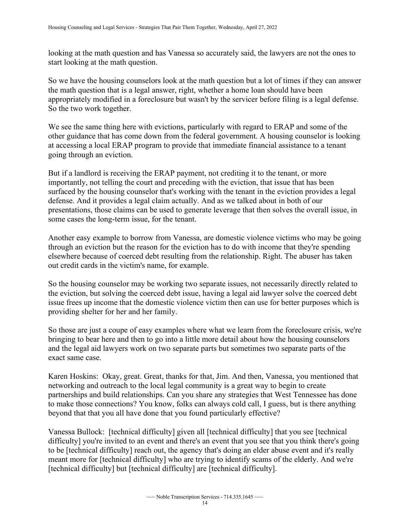looking at the math question and has Vanessa so accurately said, the lawyers are not the ones to start looking at the math question.

So we have the housing counselors look at the math question but a lot of times if they can answer the math question that is a legal answer, right, whether a home loan should have been appropriately modified in a foreclosure but wasn't by the servicer before filing is a legal defense. So the two work together.

We see the same thing here with evictions, particularly with regard to ERAP and some of the other guidance that has come down from the federal government. A housing counselor is looking at accessing a local ERAP program to provide that immediate financial assistance to a tenant going through an eviction.

But if a landlord is receiving the ERAP payment, not crediting it to the tenant, or more importantly, not telling the court and preceding with the eviction, that issue that has been surfaced by the housing counselor that's working with the tenant in the eviction provides a legal defense. And it provides a legal claim actually. And as we talked about in both of our presentations, those claims can be used to generate leverage that then solves the overall issue, in some cases the long-term issue, for the tenant.

Another easy example to borrow from Vanessa, are domestic violence victims who may be going through an eviction but the reason for the eviction has to do with income that they're spending elsewhere because of coerced debt resulting from the relationship. Right. The abuser has taken out credit cards in the victim's name, for example.

So the housing counselor may be working two separate issues, not necessarily directly related to the eviction, but solving the coerced debt issue, having a legal aid lawyer solve the coerced debt issue frees up income that the domestic violence victim then can use for better purposes which is providing shelter for her and her family.

So those are just a coupe of easy examples where what we learn from the foreclosure crisis, we're bringing to bear here and then to go into a little more detail about how the housing counselors and the legal aid lawyers work on two separate parts but sometimes two separate parts of the exact same case.

Karen Hoskins: Okay, great. Great, thanks for that, Jim. And then, Vanessa, you mentioned that networking and outreach to the local legal community is a great way to begin to create partnerships and build relationships. Can you share any strategies that West Tennessee has done to make those connections? You know, folks can always cold call, I guess, but is there anything beyond that that you all have done that you found particularly effective?

 to be [technical difficulty] reach out, the agency that's doing an elder abuse event and it's really meant more for [technical difficulty] who are trying to identify scams of the elderly. And we're Vanessa Bullock: [technical difficulty] given all [technical difficulty] that you see [technical difficulty] you're invited to an event and there's an event that you see that you think there's going [technical difficulty] but [technical difficulty] are [technical difficulty].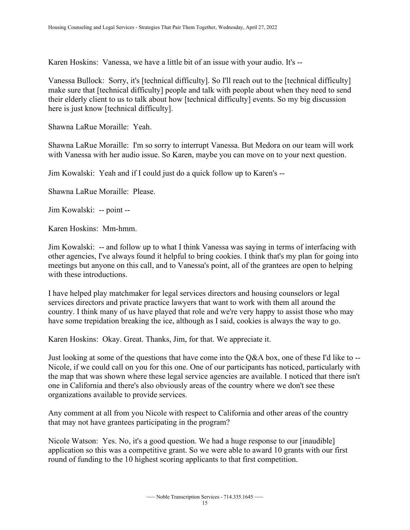Karen Hoskins: Vanessa, we have a little bit of an issue with your audio. It's --

Vanessa Bullock: Sorry, it's [technical difficulty]. So I'll reach out to the [technical difficulty] make sure that [technical difficulty] people and talk with people about when they need to send their elderly client to us to talk about how [technical difficulty] events. So my big discussion here is just know [technical difficulty].

Shawna LaRue Moraille: Yeah.

Shawna LaRue Moraille: I'm so sorry to interrupt Vanessa. But Medora on our team will work with Vanessa with her audio issue. So Karen, maybe you can move on to your next question.

Jim Kowalski: Yeah and if I could just do a quick follow up to Karen's --

Shawna LaRue Moraille: Please.

Jim Kowalski: -- point --

Karen Hoskins: Mm-hmm.

Jim Kowalski: -- and follow up to what I think Vanessa was saying in terms of interfacing with other agencies, I've always found it helpful to bring cookies. I think that's my plan for going into meetings but anyone on this call, and to Vanessa's point, all of the grantees are open to helping with these introductions.

I have helped play matchmaker for legal services directors and housing counselors or legal services directors and private practice lawyers that want to work with them all around the country. I think many of us have played that role and we're very happy to assist those who may have some trepidation breaking the ice, although as I said, cookies is always the way to go.

Karen Hoskins: Okay. Great. Thanks, Jim, for that. We appreciate it.

 Just looking at some of the questions that have come into the Q&A box, one of these I'd like to -- the map that was shown where these legal service agencies are available. I noticed that there isn't one in California and there's also obviously areas of the country where we don't see these Nicole, if we could call on you for this one. One of our participants has noticed, particularly with organizations available to provide services.

 Any comment at all from you Nicole with respect to California and other areas of the country that may not have grantees participating in the program?

Nicole Watson: Yes. No, it's a good question. We had a huge response to our [inaudible] application so this was a competitive grant. So we were able to award 10 grants with our first round of funding to the 10 highest scoring applicants to that first competition.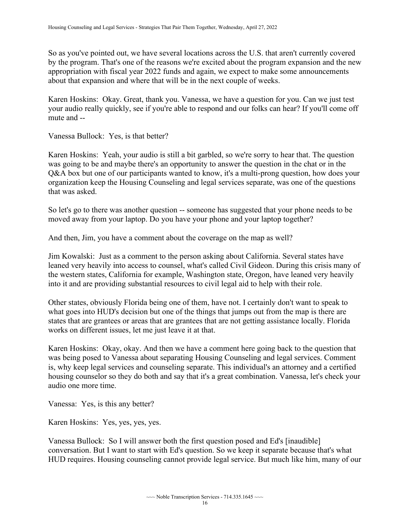So as you've pointed out, we have several locations across the U.S. that aren't currently covered by the program. That's one of the reasons we're excited about the program expansion and the new appropriation with fiscal year 2022 funds and again, we expect to make some announcements about that expansion and where that will be in the next couple of weeks.

Karen Hoskins: Okay. Great, thank you. Vanessa, we have a question for you. Can we just test your audio really quickly, see if you're able to respond and our folks can hear? If you'll come off mute and --

Vanessa Bullock: Yes, is that better?

 Q&A box but one of our participants wanted to know, it's a multi-prong question, how does your Karen Hoskins: Yeah, your audio is still a bit garbled, so we're sorry to hear that. The question was going to be and maybe there's an opportunity to answer the question in the chat or in the organization keep the Housing Counseling and legal services separate, was one of the questions that was asked.

 So let's go to there was another question -- someone has suggested that your phone needs to be moved away from your laptop. Do you have your phone and your laptop together?

And then, Jim, you have a comment about the coverage on the map as well?

Jim Kowalski: Just as a comment to the person asking about California. Several states have leaned very heavily into access to counsel, what's called Civil Gideon. During this crisis many of the western states, California for example, Washington state, Oregon, have leaned very heavily into it and are providing substantial resources to civil legal aid to help with their role.

Other states, obviously Florida being one of them, have not. I certainly don't want to speak to what goes into HUD's decision but one of the things that jumps out from the map is there are states that are grantees or areas that are grantees that are not getting assistance locally. Florida works on different issues, let me just leave it at that.

 Karen Hoskins: Okay, okay. And then we have a comment here going back to the question that housing counselor so they do both and say that it's a great combination. Vanessa, let's check your was being posed to Vanessa about separating Housing Counseling and legal services. Comment is, why keep legal services and counseling separate. This individual's an attorney and a certified audio one more time.

Vanessa: Yes, is this any better?

Karen Hoskins: Yes, yes, yes, yes.

 conversation. But I want to start with Ed's question. So we keep it separate because that's what Vanessa Bullock: So I will answer both the first question posed and Ed's [inaudible] HUD requires. Housing counseling cannot provide legal service. But much like him, many of our